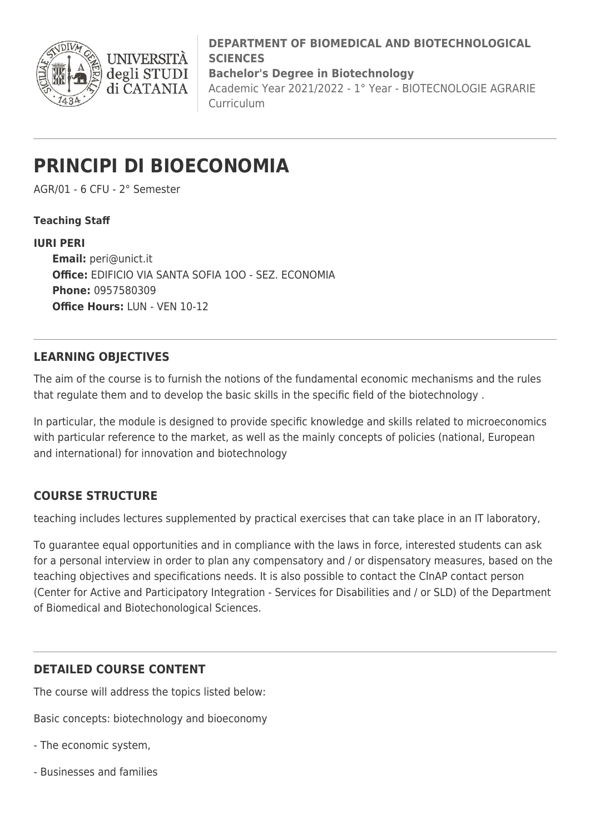

**DEPARTMENT OF BIOMEDICAL AND BIOTECHNOLOGICAL SCIENCES Bachelor's Degree in Biotechnology**

Academic Year 2021/2022 - 1° Year - BIOTECNOLOGIE AGRARIE Curriculum

# **PRINCIPI DI BIOECONOMIA**

AGR/01 - 6 CFU - 2° Semester

#### **Teaching Staff**

**IURI PERI Email:** [peri@unict.it](mailto:peri@unict.it) **Office:** EDIFICIO VIA SANTA SOFIA 1OO - SEZ. ECONOMIA **Phone:** 0957580309 **Office Hours:** LUN - VEN 10-12

### **LEARNING OBJECTIVES**

The aim of the course is to furnish the notions of the fundamental economic mechanisms and the rules that regulate them and to develop the basic skills in the specific field of the biotechnology .

In particular, the module is designed to provide specific knowledge and skills related to microeconomics with particular reference to the market, as well as the mainly concepts of policies (national, European and international) for innovation and biotechnology

## **COURSE STRUCTURE**

teaching includes lectures supplemented by practical exercises that can take place in an IT laboratory,

To guarantee equal opportunities and in compliance with the laws in force, interested students can ask for a personal interview in order to plan any compensatory and / or dispensatory measures, based on the teaching objectives and specifications needs. It is also possible to contact the CInAP contact person (Center for Active and Participatory Integration - Services for Disabilities and / or SLD) of the Department of Biomedical and Biotechonological Sciences.

## **DETAILED COURSE CONTENT**

The course will address the topics listed below:

Basic concepts: biotechnology and bioeconomy

- The economic system,
- Businesses and families